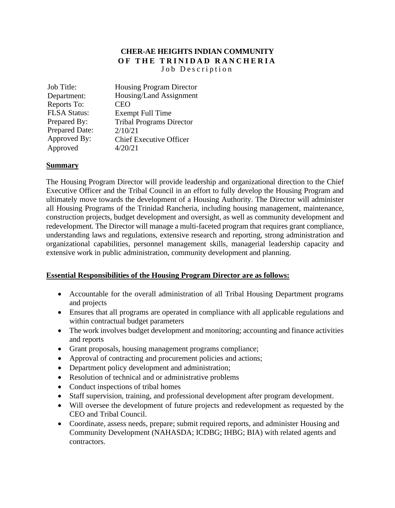# **CHER-AE HEIGHTS INDIAN COMMUNITY OF THE TRINIDAD RANCHERIA** Job Description

| Job Title:            | <b>Housing Program Director</b> |
|-----------------------|---------------------------------|
| Department:           | Housing/Land Assignment         |
| Reports To:           | <b>CEO</b>                      |
| <b>FLSA Status:</b>   | <b>Exempt Full Time</b>         |
| Prepared By:          | <b>Tribal Programs Director</b> |
| <b>Prepared Date:</b> | 2/10/21                         |
| Approved By:          | <b>Chief Executive Officer</b>  |
| Approved              | 4/20/21                         |

### **Summary**

The Housing Program Director will provide leadership and organizational direction to the Chief Executive Officer and the Tribal Council in an effort to fully develop the Housing Program and ultimately move towards the development of a Housing Authority. The Director will administer all Housing Programs of the Trinidad Rancheria, including housing management, maintenance, construction projects, budget development and oversight, as well as community development and redevelopment. The Director will manage a multi-faceted program that requires grant compliance, understanding laws and regulations, extensive research and reporting, strong administration and organizational capabilities, personnel management skills, managerial leadership capacity and extensive work in public administration, community development and planning.

#### **Essential Responsibilities of the Housing Program Director are as follows:**

- Accountable for the overall administration of all Tribal Housing Department programs and projects
- Ensures that all programs are operated in compliance with all applicable regulations and within contractual budget parameters
- The work involves budget development and monitoring; accounting and finance activities and reports
- Grant proposals, housing management programs compliance;
- Approval of contracting and procurement policies and actions;
- Department policy development and administration;
- Resolution of technical and or administrative problems
- Conduct inspections of tribal homes
- Staff supervision, training, and professional development after program development.
- Will oversee the development of future projects and redevelopment as requested by the CEO and Tribal Council.
- Coordinate, assess needs, prepare; submit required reports, and administer Housing and Community Development (NAHASDA; ICDBG; IHBG; BIA) with related agents and contractors.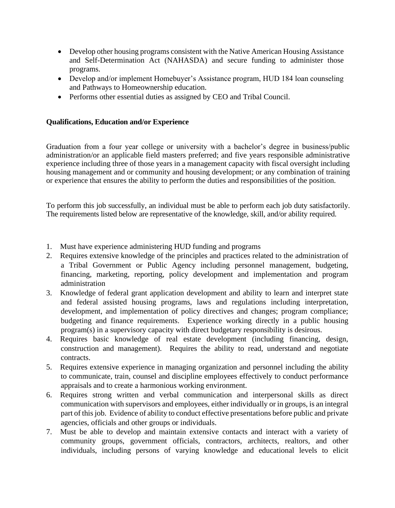- Develop other housing programs consistent with the Native American Housing Assistance and Self-Determination Act (NAHASDA) and secure funding to administer those programs.
- Develop and/or implement Homebuyer's Assistance program, HUD 184 loan counseling and Pathways to Homeownership education.
- Performs other essential duties as assigned by CEO and Tribal Council.

## **Qualifications, Education and/or Experience**

Graduation from a four year college or university with a bachelor's degree in business/public administration/or an applicable field masters preferred; and five years responsible administrative experience including three of those years in a management capacity with fiscal oversight including housing management and or community and housing development; or any combination of training or experience that ensures the ability to perform the duties and responsibilities of the position.

To perform this job successfully, an individual must be able to perform each job duty satisfactorily. The requirements listed below are representative of the knowledge, skill, and/or ability required.

- 1. Must have experience administering HUD funding and programs
- 2. Requires extensive knowledge of the principles and practices related to the administration of a Tribal Government or Public Agency including personnel management, budgeting, financing, marketing, reporting, policy development and implementation and program administration
- 3. Knowledge of federal grant application development and ability to learn and interpret state and federal assisted housing programs, laws and regulations including interpretation, development, and implementation of policy directives and changes; program compliance; budgeting and finance requirements. Experience working directly in a public housing program(s) in a supervisory capacity with direct budgetary responsibility is desirous.
- 4. Requires basic knowledge of real estate development (including financing, design, construction and management). Requires the ability to read, understand and negotiate contracts.
- 5. Requires extensive experience in managing organization and personnel including the ability to communicate, train, counsel and discipline employees effectively to conduct performance appraisals and to create a harmonious working environment.
- 6. Requires strong written and verbal communication and interpersonal skills as direct communication with supervisors and employees, either individually or in groups, is an integral part of this job. Evidence of ability to conduct effective presentations before public and private agencies, officials and other groups or individuals.
- 7. Must be able to develop and maintain extensive contacts and interact with a variety of community groups, government officials, contractors, architects, realtors, and other individuals, including persons of varying knowledge and educational levels to elicit